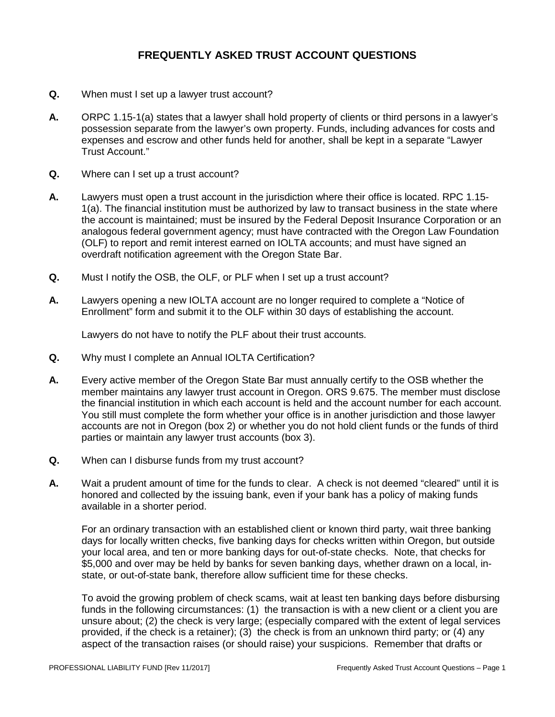- **Q.** When must I set up a lawyer trust account?
- **A.** ORPC 1.15-1(a) states that a lawyer shall hold property of clients or third persons in a lawyer's possession separate from the lawyer's own property. Funds, including advances for costs and expenses and escrow and other funds held for another, shall be kept in a separate "Lawyer Trust Account."
- **Q.** Where can I set up a trust account?
- **A.** Lawyers must open a trust account in the jurisdiction where their office is located. RPC 1.15- 1(a). The financial institution must be authorized by law to transact business in the state where the account is maintained; must be insured by the Federal Deposit Insurance Corporation or an analogous federal government agency; must have contracted with the Oregon Law Foundation (OLF) to report and remit interest earned on IOLTA accounts; and must have signed an overdraft notification agreement with the Oregon State Bar.
- **Q.** Must I notify the OSB, the OLF, or PLF when I set up a trust account?
- **A.** Lawyers opening a new IOLTA account are no longer required to complete a "Notice of Enrollment" form and submit it to the OLF within 30 days of establishing the account.

Lawyers do not have to notify the PLF about their trust accounts.

- **Q.** Why must I complete an Annual IOLTA Certification?
- **A.** Every active member of the Oregon State Bar must annually certify to the OSB whether the member maintains any lawyer trust account in Oregon. ORS 9.675. The member must disclose the financial institution in which each account is held and the account number for each account. You still must complete the form whether your office is in another jurisdiction and those lawyer accounts are not in Oregon (box 2) or whether you do not hold client funds or the funds of third parties or maintain any lawyer trust accounts (box 3).
- **Q.** When can I disburse funds from my trust account?
- **A.** Wait a prudent amount of time for the funds to clear. A check is not deemed "cleared" until it is honored and collected by the issuing bank, even if your bank has a policy of making funds available in a shorter period.

For an ordinary transaction with an established client or known third party, wait three banking days for locally written checks, five banking days for checks written within Oregon, but outside your local area, and ten or more banking days for out-of-state checks. Note, that checks for \$5,000 and over may be held by banks for seven banking days, whether drawn on a local, instate, or out-of-state bank, therefore allow sufficient time for these checks.

To avoid the growing problem of check scams, wait at least ten banking days before disbursing funds in the following circumstances: (1) the transaction is with a new client or a client you are unsure about; (2) the check is very large; (especially compared with the extent of legal services provided, if the check is a retainer); (3) the check is from an unknown third party; or (4) any aspect of the transaction raises (or should raise) your suspicions. Remember that drafts or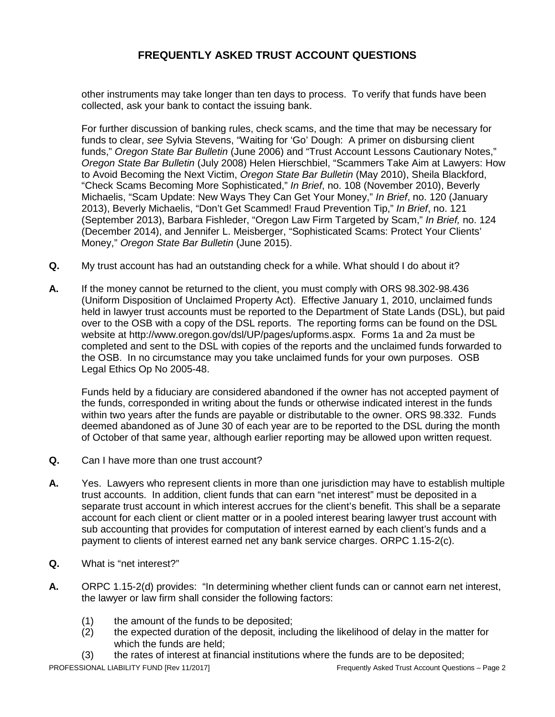other instruments may take longer than ten days to process. To verify that funds have been collected, ask your bank to contact the issuing bank.

For further discussion of banking rules, check scams, and the time that may be necessary for funds to clear, *see* Sylvia Stevens, "Waiting for 'Go' Dough: A primer on disbursing client funds," *Oregon State Bar Bulletin* (June 2006) and "Trust Account Lessons Cautionary Notes," *Oregon State Bar Bulletin* (July 2008) Helen Hierschbiel, "Scammers Take Aim at Lawyers: How to Avoid Becoming the Next Victim, *Oregon State Bar Bulletin* (May 2010), Sheila Blackford, "Check Scams Becoming More Sophisticated," *In Brief*, no. 108 (November 2010), Beverly Michaelis, "Scam Update: New Ways They Can Get Your Money," *In Brief*, no. 120 (January 2013), Beverly Michaelis, "Don't Get Scammed! Fraud Prevention Tip," *In Brief*, no. 121 (September 2013), Barbara Fishleder, "Oregon Law Firm Targeted by Scam," *In Brief,* no. 124 (December 2014), and Jennifer L. Meisberger, "Sophisticated Scams: Protect Your Clients' Money," *Oregon State Bar Bulletin* (June 2015).

- **Q.** My trust account has had an outstanding check for a while. What should I do about it?
- **A.** If the money cannot be returned to the client, you must comply with ORS 98.302-98.436 (Uniform Disposition of Unclaimed Property Act). Effective January 1, 2010, unclaimed funds held in lawyer trust accounts must be reported to the Department of State Lands (DSL), but paid over to the OSB with a copy of the DSL reports. The reporting forms can be found on the DSL website at http://www.oregon.gov/dsl/UP/pages/upforms.aspx. Forms 1a and 2a must be completed and sent to the DSL with copies of the reports and the unclaimed funds forwarded to the OSB. In no circumstance may you take unclaimed funds for your own purposes. OSB Legal Ethics Op No 2005-48.

Funds held by a fiduciary are considered abandoned if the owner has not accepted payment of the funds, corresponded in writing about the funds or otherwise indicated interest in the funds within two years after the funds are payable or distributable to the owner. ORS 98.332. Funds deemed abandoned as of June 30 of each year are to be reported to the DSL during the month of October of that same year, although earlier reporting may be allowed upon written request.

- **Q.** Can I have more than one trust account?
- **A.** Yes. Lawyers who represent clients in more than one jurisdiction may have to establish multiple trust accounts. In addition, client funds that can earn "net interest" must be deposited in a separate trust account in which interest accrues for the client's benefit. This shall be a separate account for each client or client matter or in a pooled interest bearing lawyer trust account with sub accounting that provides for computation of interest earned by each client's funds and a payment to clients of interest earned net any bank service charges. ORPC 1.15-2(c).
- **Q.** What is "net interest?"
- **A.** ORPC 1.15-2(d) provides: "In determining whether client funds can or cannot earn net interest, the lawyer or law firm shall consider the following factors:
	- (1) the amount of the funds to be deposited;<br>(2) the expected duration of the deposit, inclu
	- the expected duration of the deposit, including the likelihood of delay in the matter for which the funds are held;
	- (3) the rates of interest at financial institutions where the funds are to be deposited;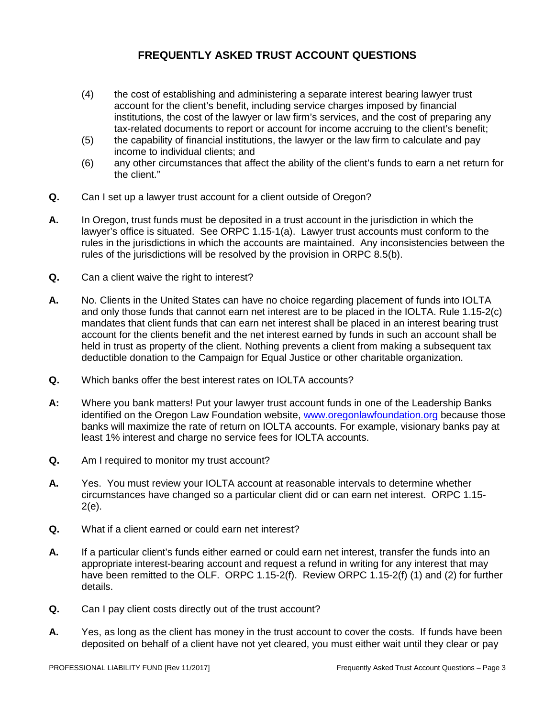- (4) the cost of establishing and administering a separate interest bearing lawyer trust account for the client's benefit, including service charges imposed by financial institutions, the cost of the lawyer or law firm's services, and the cost of preparing any tax-related documents to report or account for income accruing to the client's benefit;
- (5) the capability of financial institutions, the lawyer or the law firm to calculate and pay income to individual clients; and
- (6) any other circumstances that affect the ability of the client's funds to earn a net return for the client."
- **Q.** Can I set up a lawyer trust account for a client outside of Oregon?
- **A.** In Oregon, trust funds must be deposited in a trust account in the jurisdiction in which the lawyer's office is situated. See ORPC 1.15-1(a). Lawyer trust accounts must conform to the rules in the jurisdictions in which the accounts are maintained. Any inconsistencies between the rules of the jurisdictions will be resolved by the provision in ORPC 8.5(b).
- **Q.** Can a client waive the right to interest?
- **A.** No. Clients in the United States can have no choice regarding placement of funds into IOLTA and only those funds that cannot earn net interest are to be placed in the IOLTA. Rule 1.15-2(c) mandates that client funds that can earn net interest shall be placed in an interest bearing trust account for the clients benefit and the net interest earned by funds in such an account shall be held in trust as property of the client. Nothing prevents a client from making a subsequent tax deductible donation to the Campaign for Equal Justice or other charitable organization.
- **Q.** Which banks offer the best interest rates on IOLTA accounts?
- **A:** Where you bank matters! Put your lawyer trust account funds in one of the Leadership Banks identified on the Oregon Law Foundation website, [www.oregonlawfoundation.org](http://www.oregonlawfoundation.org/) because those banks will maximize the rate of return on IOLTA accounts. For example, visionary banks pay at least 1% interest and charge no service fees for IOLTA accounts.
- **Q.** Am I required to monitor my trust account?
- **A.** Yes. You must review your IOLTA account at reasonable intervals to determine whether circumstances have changed so a particular client did or can earn net interest. ORPC 1.15- 2(e).
- **Q.** What if a client earned or could earn net interest?
- **A.** If a particular client's funds either earned or could earn net interest, transfer the funds into an appropriate interest-bearing account and request a refund in writing for any interest that may have been remitted to the OLF. ORPC 1.15-2(f). Review ORPC 1.15-2(f) (1) and (2) for further details.
- **Q.** Can I pay client costs directly out of the trust account?
- **A.** Yes, as long as the client has money in the trust account to cover the costs. If funds have been deposited on behalf of a client have not yet cleared, you must either wait until they clear or pay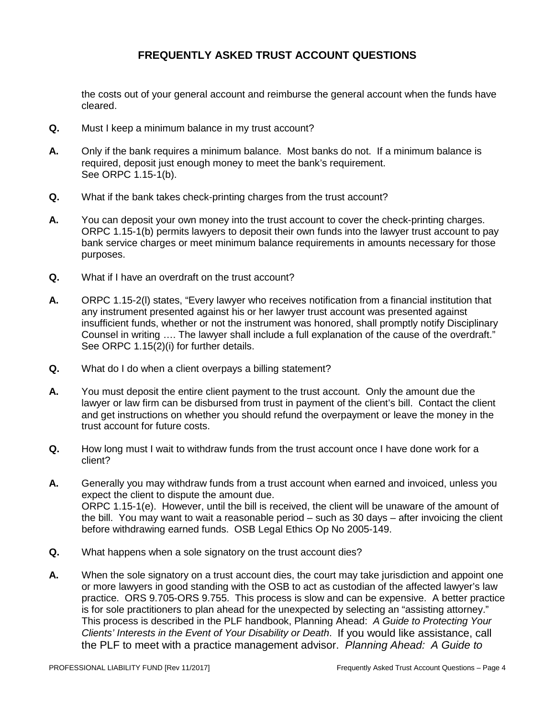the costs out of your general account and reimburse the general account when the funds have cleared.

- **Q.** Must I keep a minimum balance in my trust account?
- **A.** Only if the bank requires a minimum balance. Most banks do not. If a minimum balance is required, deposit just enough money to meet the bank's requirement. See ORPC 1.15-1(b).
- **Q.** What if the bank takes check-printing charges from the trust account?
- **A.** You can deposit your own money into the trust account to cover the check-printing charges. ORPC 1.15-1(b) permits lawyers to deposit their own funds into the lawyer trust account to pay bank service charges or meet minimum balance requirements in amounts necessary for those purposes.
- **Q.** What if I have an overdraft on the trust account?
- **A.** ORPC 1.15-2(l) states, "Every lawyer who receives notification from a financial institution that any instrument presented against his or her lawyer trust account was presented against insufficient funds, whether or not the instrument was honored, shall promptly notify Disciplinary Counsel in writing …. The lawyer shall include a full explanation of the cause of the overdraft." See ORPC 1.15(2)(i) for further details.
- **Q.** What do I do when a client overpays a billing statement?
- **A.** You must deposit the entire client payment to the trust account. Only the amount due the lawyer or law firm can be disbursed from trust in payment of the client's bill. Contact the client and get instructions on whether you should refund the overpayment or leave the money in the trust account for future costs.
- **Q.** How long must I wait to withdraw funds from the trust account once I have done work for a client?
- **A.** Generally you may withdraw funds from a trust account when earned and invoiced, unless you expect the client to dispute the amount due. ORPC 1.15-1(e). However, until the bill is received, the client will be unaware of the amount of the bill. You may want to wait a reasonable period – such as 30 days – after invoicing the client before withdrawing earned funds. OSB Legal Ethics Op No 2005-149.
- **Q.** What happens when a sole signatory on the trust account dies?
- **A.** When the sole signatory on a trust account dies, the court may take jurisdiction and appoint one or more lawyers in good standing with the OSB to act as custodian of the affected lawyer's law practice. ORS 9.705-ORS 9.755. This process is slow and can be expensive. A better practice is for sole practitioners to plan ahead for the unexpected by selecting an "assisting attorney." This process is described in the PLF handbook, Planning Ahead: *A Guide to Protecting Your Clients' Interests in the Event of Your Disability or Death*. If you would like assistance, call the PLF to meet with a practice management advisor. *Planning Ahead: A Guide to*